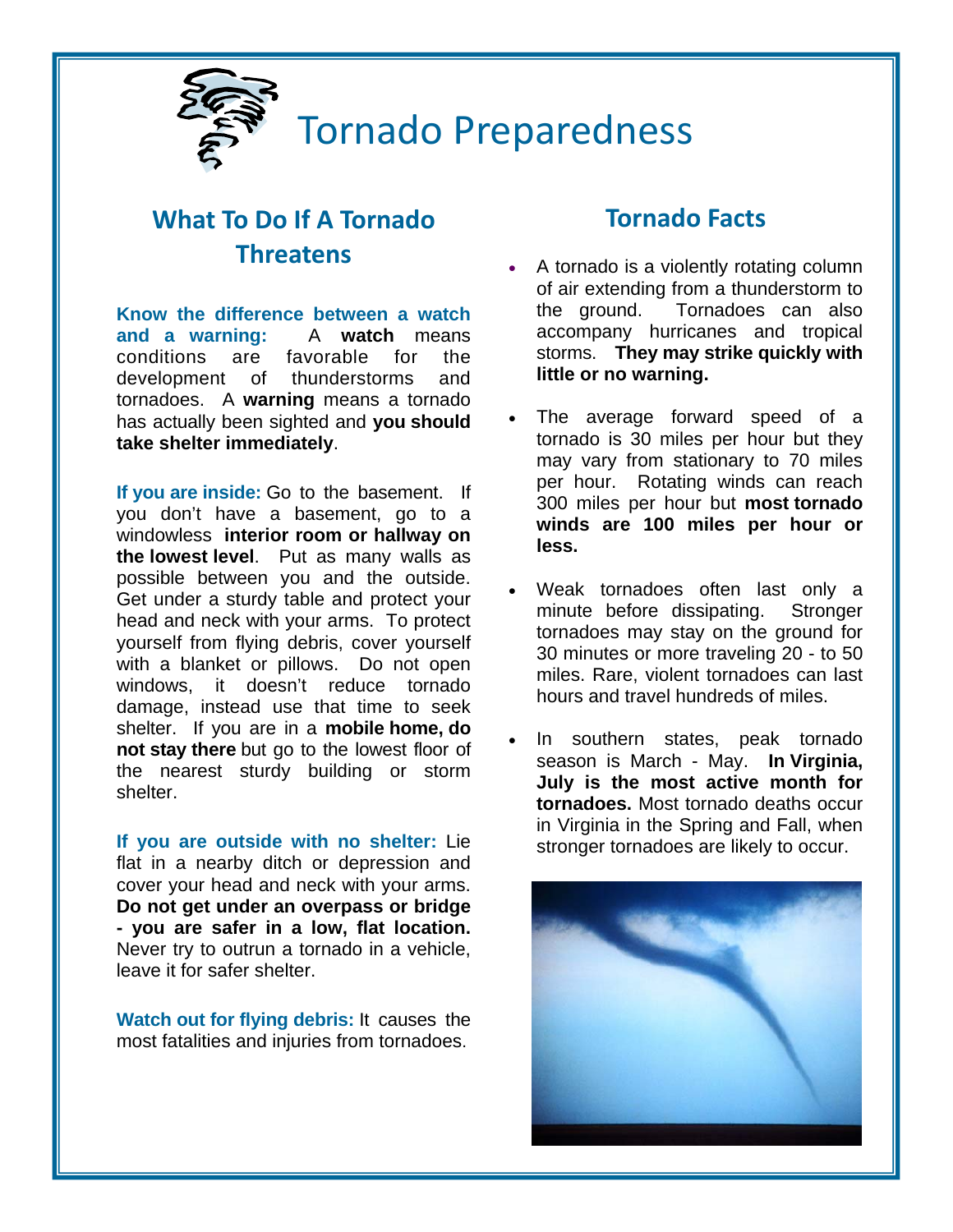

# **What To Do If A Tornado Threatens**

**Know the difference between a watch and a warning:** A **watch** means conditions are favorable for the development of thunderstorms and tornadoes. A **warning** means a tornado has actually been sighted and **you should take shelter immediately**.

**If you are inside:** Go to the basement. If you don't have a basement, go to a windowless **interior room or hallway on the lowest level**. Put as many walls as possible between you and the outside. Get under a sturdy table and protect your head and neck with your arms. To protect yourself from flying debris, cover yourself with a blanket or pillows. Do not open windows, it doesn't reduce tornado damage, instead use that time to seek shelter. If you are in a **mobile home, do not stay there** but go to the lowest floor of the nearest sturdy building or storm shelter.

**If you are outside with no shelter:** Lie flat in a nearby ditch or depression and cover your head and neck with your arms. **Do not get under an overpass or bridge - you are safer in a low, flat location.** Never try to outrun a tornado in a vehicle, leave it for safer shelter.

**Watch out for flying debris:** It causes the most fatalities and injuries from tornadoes.

# **Tornado Facts**

- A tornado is a violently rotating column of air extending from a thunderstorm to the ground. Tornadoes can also accompany hurricanes and tropical storms. **They may strike quickly with little or no warning.**
- The average forward speed of a tornado is 30 miles per hour but they may vary from stationary to 70 miles per hour. Rotating winds can reach 300 miles per hour but **most tornado winds are 100 miles per hour or less.**
- Weak tornadoes often last only a minute before dissipating. Stronger tornadoes may stay on the ground for 30 minutes or more traveling 20 - to 50 miles. Rare, violent tornadoes can last hours and travel hundreds of miles.
- In southern states, peak tornado season is March - May. **In Virginia, July is the most active month for tornadoes.** Most tornado deaths occur in Virginia in the Spring and Fall, when stronger tornadoes are likely to occur.